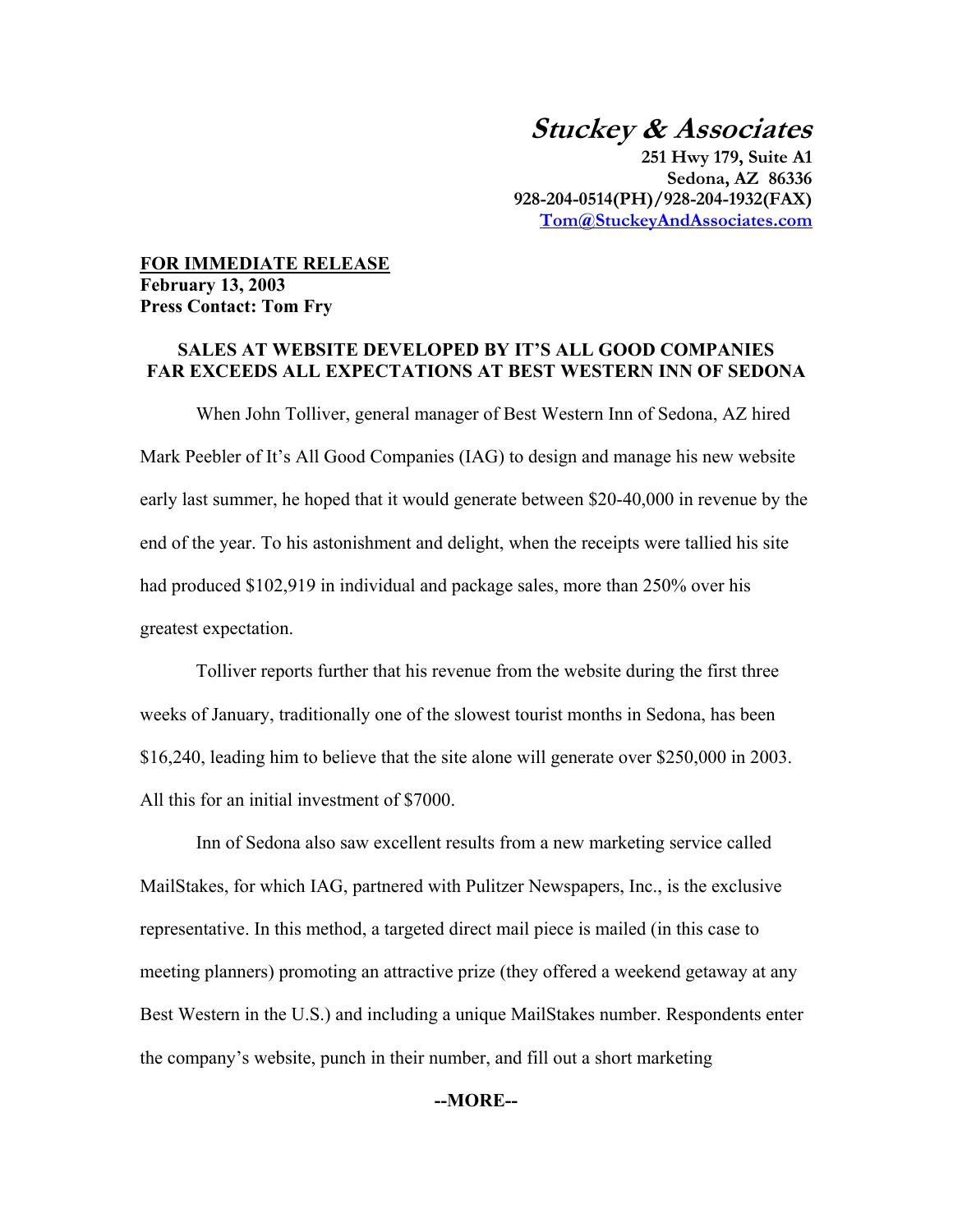# **Stuckey & Associates**

**251 Hwy 179, Suite A1 Sedona, AZ 86336 928-204-0514(PH)/928-204-1932(FAX) Tom@StuckeyAndAssociates.com**

## **FOR IMMEDIATE RELEASE February 13, 2003 Press Contact: Tom Fry**

### **SALES AT WEBSITE DEVELOPED BY IT'S ALL GOOD COMPANIES FAR EXCEEDS ALL EXPECTATIONS AT BEST WESTERN INN OF SEDONA**

 When John Tolliver, general manager of Best Western Inn of Sedona, AZ hired Mark Peebler of It's All Good Companies (IAG) to design and manage his new website early last summer, he hoped that it would generate between \$20-40,000 in revenue by the end of the year. To his astonishment and delight, when the receipts were tallied his site had produced \$102,919 in individual and package sales, more than 250% over his greatest expectation.

 Tolliver reports further that his revenue from the website during the first three weeks of January, traditionally one of the slowest tourist months in Sedona, has been \$16,240, leading him to believe that the site alone will generate over \$250,000 in 2003. All this for an initial investment of \$7000.

 Inn of Sedona also saw excellent results from a new marketing service called MailStakes, for which IAG, partnered with Pulitzer Newspapers, Inc., is the exclusive representative. In this method, a targeted direct mail piece is mailed (in this case to meeting planners) promoting an attractive prize (they offered a weekend getaway at any Best Western in the U.S.) and including a unique MailStakes number. Respondents enter the company's website, punch in their number, and fill out a short marketing

#### **--MORE--**